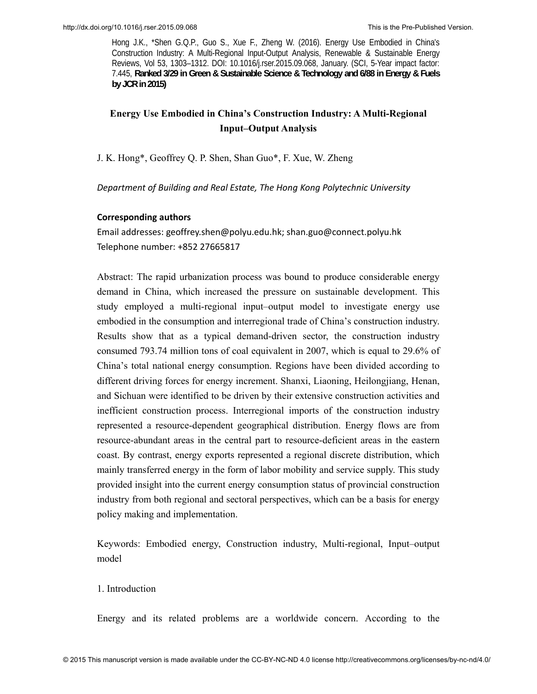# **Energy Use Embodied in China's Construction Industry: A Multi-Regional Input–Output Analysis**

J. K. Hong\*, Geoffrey Q. P. Shen, Shan Guo\*, F. Xue, W. Zheng

*Department of Building and Real Estate, The Hong Kong Polytechnic University* 

#### **Corresponding authors**

Email addresses: geoffrey.shen@polyu.edu.hk; shan.guo@connect.polyu.hk Telephone number: +852 27665817

Abstract: The rapid urbanization process was bound to produce considerable energy demand in China, which increased the pressure on sustainable development. This study employed a multi-regional input–output model to investigate energy use embodied in the consumption and interregional trade of China's construction industry. Results show that as a typical demand-driven sector, the construction industry consumed 793.74 million tons of coal equivalent in 2007, which is equal to 29.6% of China's total national energy consumption. Regions have been divided according to different driving forces for energy increment. Shanxi, Liaoning, Heilongjiang, Henan, and Sichuan were identified to be driven by their extensive construction activities and inefficient construction process. Interregional imports of the construction industry represented a resource-dependent geographical distribution. Energy flows are from resource-abundant areas in the central part to resource-deficient areas in the eastern coast. By contrast, energy exports represented a regional discrete distribution, which mainly transferred energy in the form of labor mobility and service supply. This study provided insight into the current energy consumption status of provincial construction industry from both regional and sectoral perspectives, which can be a basis for energy policy making and implementation.

Keywords: Embodied energy, Construction industry, Multi-regional, Input–output model

### 1. Introduction

Energy and its related problems are a worldwide concern. According to the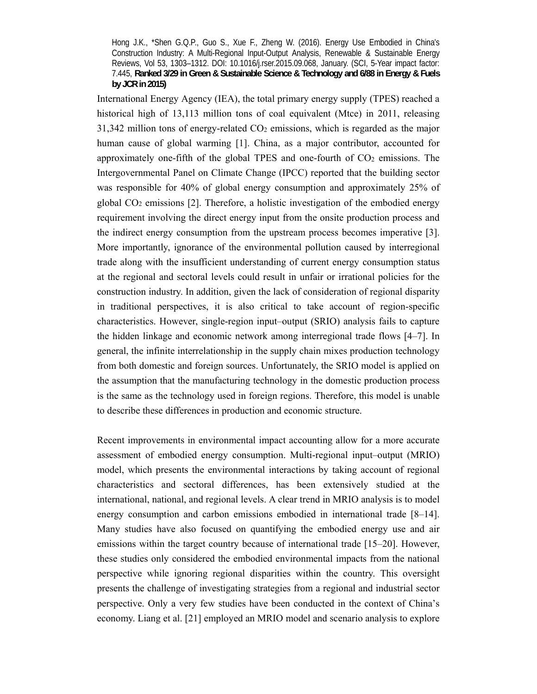International Energy Agency (IEA), the total primary energy supply (TPES) reached a historical high of 13,113 million tons of coal equivalent (Mtce) in 2011, releasing  $31,342$  million tons of energy-related  $CO<sub>2</sub>$  emissions, which is regarded as the major human cause of global warming [1]. China, as a major contributor, accounted for approximately one-fifth of the global TPES and one-fourth of  $CO<sub>2</sub>$  emissions. The Intergovernmental Panel on Climate Change (IPCC) reported that the building sector was responsible for 40% of global energy consumption and approximately 25% of global CO2 emissions [2]. Therefore, a holistic investigation of the embodied energy requirement involving the direct energy input from the onsite production process and the indirect energy consumption from the upstream process becomes imperative [3]. More importantly, ignorance of the environmental pollution caused by interregional trade along with the insufficient understanding of current energy consumption status at the regional and sectoral levels could result in unfair or irrational policies for the construction industry. In addition, given the lack of consideration of regional disparity in traditional perspectives, it is also critical to take account of region-specific characteristics. However, single-region input–output (SRIO) analysis fails to capture the hidden linkage and economic network among interregional trade flows [4–7]. In general, the infinite interrelationship in the supply chain mixes production technology from both domestic and foreign sources. Unfortunately, the SRIO model is applied on the assumption that the manufacturing technology in the domestic production process is the same as the technology used in foreign regions. Therefore, this model is unable to describe these differences in production and economic structure.

Recent improvements in environmental impact accounting allow for a more accurate assessment of embodied energy consumption. Multi-regional input–output (MRIO) model, which presents the environmental interactions by taking account of regional characteristics and sectoral differences, has been extensively studied at the international, national, and regional levels. A clear trend in MRIO analysis is to model energy consumption and carbon emissions embodied in international trade [8–14]. Many studies have also focused on quantifying the embodied energy use and air emissions within the target country because of international trade [15–20]. However, these studies only considered the embodied environmental impacts from the national perspective while ignoring regional disparities within the country. This oversight presents the challenge of investigating strategies from a regional and industrial sector perspective. Only a very few studies have been conducted in the context of China's economy. Liang et al. [21] employed an MRIO model and scenario analysis to explore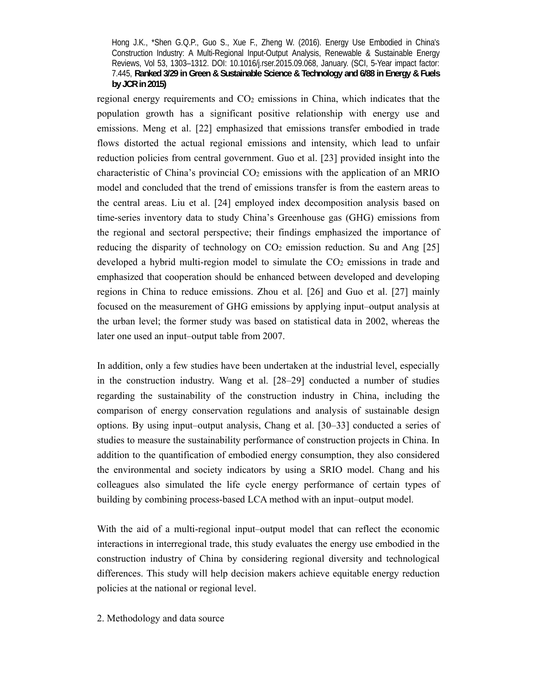regional energy requirements and CO2 emissions in China, which indicates that the population growth has a significant positive relationship with energy use and emissions. Meng et al. [22] emphasized that emissions transfer embodied in trade flows distorted the actual regional emissions and intensity, which lead to unfair reduction policies from central government. Guo et al. [23] provided insight into the characteristic of China's provincial  $CO<sub>2</sub>$  emissions with the application of an MRIO model and concluded that the trend of emissions transfer is from the eastern areas to the central areas. Liu et al. [24] employed index decomposition analysis based on time-series inventory data to study China's Greenhouse gas (GHG) emissions from the regional and sectoral perspective; their findings emphasized the importance of reducing the disparity of technology on  $CO<sub>2</sub>$  emission reduction. Su and Ang [25] developed a hybrid multi-region model to simulate the CO2 emissions in trade and emphasized that cooperation should be enhanced between developed and developing regions in China to reduce emissions. Zhou et al. [26] and Guo et al. [27] mainly focused on the measurement of GHG emissions by applying input–output analysis at the urban level; the former study was based on statistical data in 2002, whereas the later one used an input–output table from 2007.

In addition, only a few studies have been undertaken at the industrial level, especially in the construction industry. Wang et al. [28–29] conducted a number of studies regarding the sustainability of the construction industry in China, including the comparison of energy conservation regulations and analysis of sustainable design options. By using input–output analysis, Chang et al. [30–33] conducted a series of studies to measure the sustainability performance of construction projects in China. In addition to the quantification of embodied energy consumption, they also considered the environmental and society indicators by using a SRIO model. Chang and his colleagues also simulated the life cycle energy performance of certain types of building by combining process-based LCA method with an input–output model.

With the aid of a multi-regional input–output model that can reflect the economic interactions in interregional trade, this study evaluates the energy use embodied in the construction industry of China by considering regional diversity and technological differences. This study will help decision makers achieve equitable energy reduction policies at the national or regional level.

2. Methodology and data source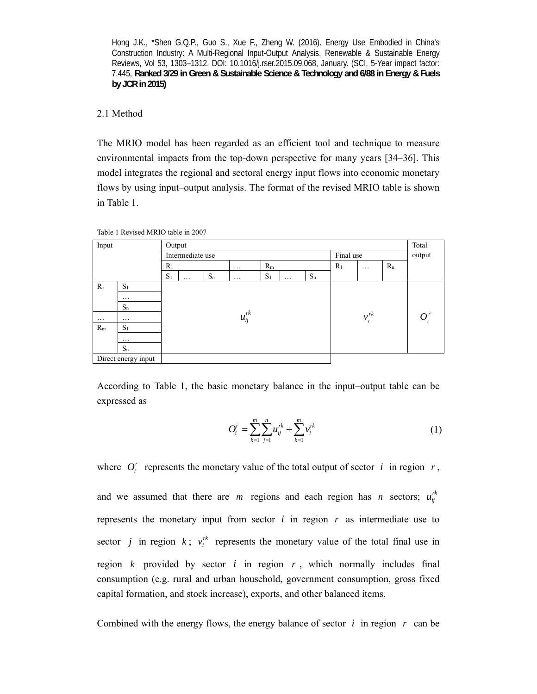### 2.1 Method

The MRIO model has been regarded as an efficient tool and technique to measure environmental impacts from the top-down perspective for many years [34–36]. This model integrates the regional and sectoral energy input flows into economic monetary flows by using input–output analysis. The format of the revised MRIO table is shown in Table 1.

| Input    |                     | Output |                  |       |               |       |          |       |                |            |       | Total  |
|----------|---------------------|--------|------------------|-------|---------------|-------|----------|-------|----------------|------------|-------|--------|
|          |                     |        | Intermediate use |       |               |       |          |       | Final use      |            |       | output |
|          |                     | $R_1$  |                  |       | $\cdots$      | $R_m$ |          |       | R <sub>1</sub> | $\cdots$   | $R_n$ |        |
|          |                     | $S_1$  | $\cdots$         | $S_n$ | $\cdots$      | $S_1$ | $\ddots$ | $S_n$ |                |            |       |        |
| $R_1$    | $S_1$               |        |                  |       |               |       |          |       |                |            |       |        |
|          | $\cdots$            |        |                  |       |               |       |          |       |                |            |       |        |
|          | $S_n$               |        |                  |       |               |       |          |       |                |            |       |        |
| $\cdots$ | $\cdots$            |        |                  |       | $u_{ij}^{rk}$ |       |          |       |                | $v_i^{rk}$ |       | $O_i'$ |
| $R_m$    | S <sub>1</sub>      |        |                  |       |               |       |          |       |                |            |       |        |
|          | $\cdots$            |        |                  |       |               |       |          |       |                |            |       |        |
|          | $S_n$               |        |                  |       |               |       |          |       |                |            |       |        |
|          | Direct energy input |        |                  |       |               |       |          |       |                |            |       |        |

Table 1 Revised MRIO table in 2007

According to Table 1, the basic monetary balance in the input–output table can be expressed as

$$
O_i^r = \sum_{k=1}^m \sum_{j=1}^n u_{ij}^{rk} + \sum_{k=1}^m v_i^{rk}
$$
 (1)

where  $O_i^r$  represents the monetary value of the total output of sector *i* in region *r*,

and we assumed that there are *m* regions and each region has *n* sectors;  $u_{ij}^{rk}$ represents the monetary input from sector  $i$  in region  $r$  as intermediate use to sector *j* in region *k*;  $v_i^{\prime k}$  represents the monetary value of the total final use in region  $k$  provided by sector  $i$  in region  $r$ , which normally includes final consumption (e.g. rural and urban household, government consumption, gross fixed capital formation, and stock increase), exports, and other balanced items.

Combined with the energy flows, the energy balance of sector  $i$  in region  $r$  can be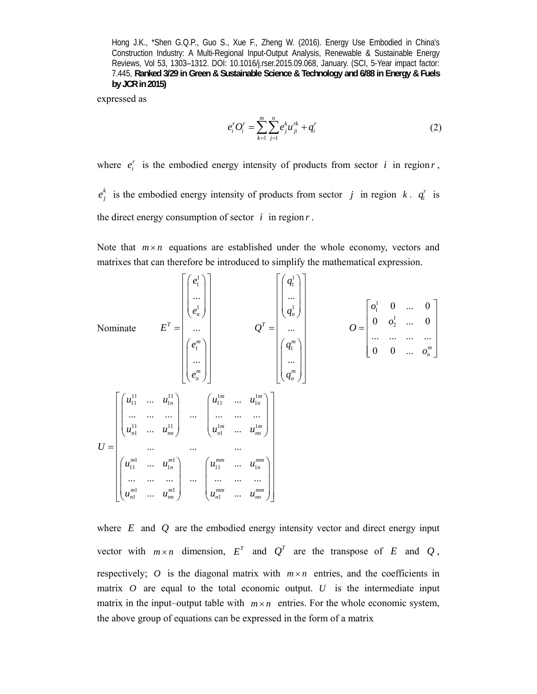expressed as

$$
e_i^r O_i^r = \sum_{k=1}^m \sum_{j=1}^n e_j^k u_{ji}^{rk} + q_i^r
$$
 (2)

where  $e_i^r$  is the embodied energy intensity of products from sector *i* in region *r*,  $e_j^k$  is the embodied energy intensity of products from sector *j* in region *k*.  $q_i^r$  is the direct energy consumption of sector  $i$  in region  $r$ .

Note that  $m \times n$  equations are established under the whole economy, vectors and matrixes that can therefore be introduced to simplify the mathematical expression.

Noninate

\n
$$
E^{T} = \begin{bmatrix} e_{1}^{1} \\ \vdots \\ e_{n}^{1} \\ \vdots \\ e_{n}^{m} \end{bmatrix} \qquad Q^{T} = \begin{bmatrix} q_{1}^{1} \\ \vdots \\ q_{n}^{1} \\ \vdots \\ q_{n}^{m} \end{bmatrix} \qquad Q^{T} = \begin{bmatrix} q_{1}^{1} \\ \vdots \\ q_{n}^{1} \\ \vdots \\ q_{n}^{m} \end{bmatrix} \qquad Q = \begin{bmatrix} o_{1}^{1} & 0 & \dots & 0 \\ 0 & o_{2}^{1} & \dots & 0 \\ \vdots & \vdots & \ddots & \vdots \\ 0 & 0 & \dots & o_{n}^{m} \end{bmatrix}
$$
\nVolume

\n
$$
U = \begin{bmatrix} u_{11}^{11} & \dots & u_{1n}^{11} \\ \vdots & \vdots & \ddots & \vdots \\ u_{n1}^{11} & \dots & u_{nn}^{11} \\ \vdots & \vdots & \ddots & \vdots \\ u_{n1}^{11} & \dots & u_{nn}^{11} \\ \vdots & \vdots & \ddots & \vdots \\ u_{n1}^{m1} & \dots & u_{nn}^{m1} \end{bmatrix} \qquad \qquad \begin{bmatrix} u_{11}^{1m} & \dots & u_{1n}^{1m} \\ \vdots & \ddots & \vdots \\ u_{n1}^{m1} & \dots & u_{nn}^{m1} \\ \vdots & \ddots & \vdots \\ u_{n1}^{m1} & \dots & u_{nn}^{m1} \\ \vdots & \ddots & \vdots \\ u_{n1}^{m1} & \dots & u_{nn}^{m1} \end{bmatrix}
$$

where *E* and *Q* are the embodied energy intensity vector and direct energy input vector with  $m \times n$  dimension,  $E^T$  and  $Q^T$  are the transpose of *E* and *Q*, respectively; *O* is the diagonal matrix with  $m \times n$  entries, and the coefficients in matrix *O* are equal to the total economic output. *U* is the intermediate input matrix in the input–output table with  $m \times n$  entries. For the whole economic system, the above group of equations can be expressed in the form of a matrix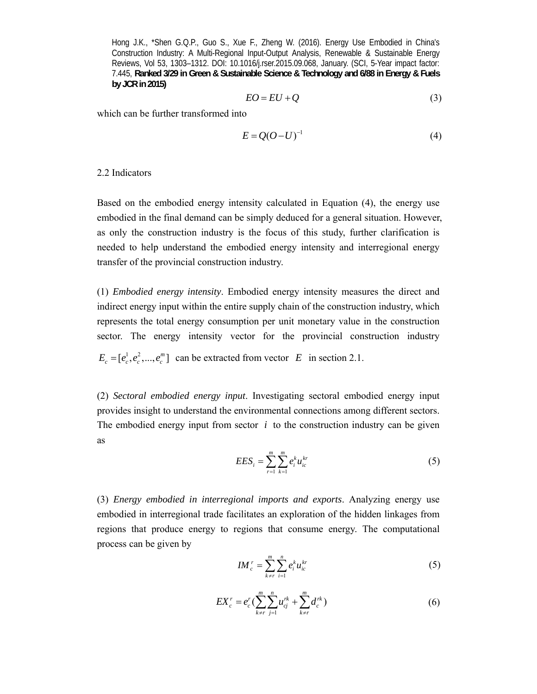$$
EO = EU + Q \tag{3}
$$

which can be further transformed into

$$
E = Q(O - U)^{-1}
$$
\n<sup>(4)</sup>

#### 2.2 Indicators

Based on the embodied energy intensity calculated in Equation (4), the energy use embodied in the final demand can be simply deduced for a general situation. However, as only the construction industry is the focus of this study, further clarification is needed to help understand the embodied energy intensity and interregional energy transfer of the provincial construction industry.

(1) *Embodied energy intensity*. Embodied energy intensity measures the direct and indirect energy input within the entire supply chain of the construction industry, which represents the total energy consumption per unit monetary value in the construction sector. The energy intensity vector for the provincial construction industry  $E_c = [e_c^1, e_c^2, ..., e_c^m]$  can be extracted from vector *E* in section 2.1.

(2) *Sectoral embodied energy input*. Investigating sectoral embodied energy input provides insight to understand the environmental connections among different sectors. The embodied energy input from sector  $i$  to the construction industry can be given as

$$
EES_i = \sum_{r=1}^{m} \sum_{k=1}^{m} e_i^k u_{ic}^{kr}
$$
 (5)

(3) *Energy embodied in interregional imports and exports*. Analyzing energy use embodied in interregional trade facilitates an exploration of the hidden linkages from regions that produce energy to regions that consume energy. The computational process can be given by

$$
I M_c^r = \sum_{k \neq r}^m \sum_{i=1}^n e_i^k u_{ic}^{kr}
$$
 (5)

$$
EX_c^r = e_c^r \left( \sum_{k \neq r}^m \sum_{j=1}^n u_{cj}^{rk} + \sum_{k \neq r}^m d_c^{rk} \right)
$$
 (6)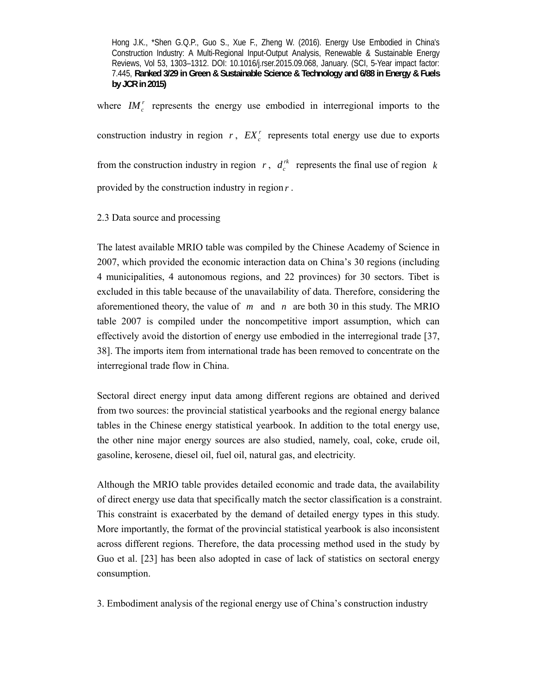where  $I M_c^r$  represents the energy use embodied in interregional imports to the construction industry in region  $r$ ,  $EX_c^r$  represents total energy use due to exports from the construction industry in region  $r$ ,  $d_c^k$  represents the final use of region  $k$ provided by the construction industry in region *r* .

2.3 Data source and processing

The latest available MRIO table was compiled by the Chinese Academy of Science in 2007, which provided the economic interaction data on China's 30 regions (including 4 municipalities, 4 autonomous regions, and 22 provinces) for 30 sectors. Tibet is excluded in this table because of the unavailability of data. Therefore, considering the aforementioned theory, the value of *m* and *n* are both 30 in this study. The MRIO table 2007 is compiled under the noncompetitive import assumption, which can effectively avoid the distortion of energy use embodied in the interregional trade [37, 38]. The imports item from international trade has been removed to concentrate on the interregional trade flow in China.

Sectoral direct energy input data among different regions are obtained and derived from two sources: the provincial statistical yearbooks and the regional energy balance tables in the Chinese energy statistical yearbook. In addition to the total energy use, the other nine major energy sources are also studied, namely, coal, coke, crude oil, gasoline, kerosene, diesel oil, fuel oil, natural gas, and electricity.

Although the MRIO table provides detailed economic and trade data, the availability of direct energy use data that specifically match the sector classification is a constraint. This constraint is exacerbated by the demand of detailed energy types in this study. More importantly, the format of the provincial statistical yearbook is also inconsistent across different regions. Therefore, the data processing method used in the study by Guo et al. [23] has been also adopted in case of lack of statistics on sectoral energy consumption.

3. Embodiment analysis of the regional energy use of China's construction industry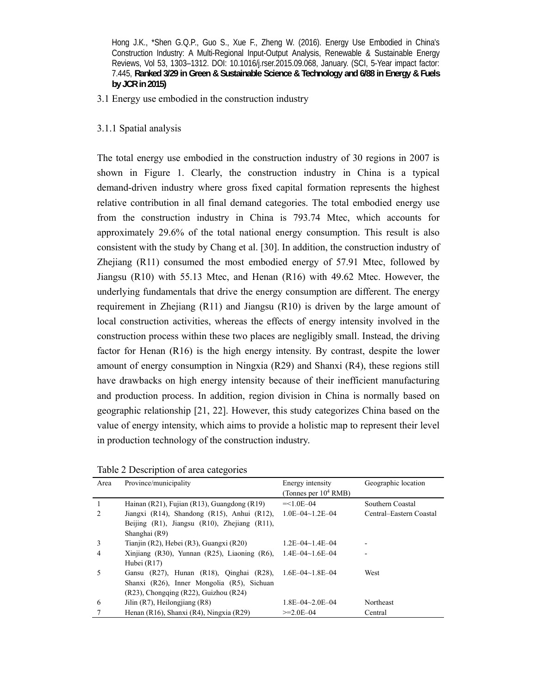3.1 Energy use embodied in the construction industry

3.1.1 Spatial analysis

The total energy use embodied in the construction industry of 30 regions in 2007 is shown in Figure 1. Clearly, the construction industry in China is a typical demand-driven industry where gross fixed capital formation represents the highest relative contribution in all final demand categories. The total embodied energy use from the construction industry in China is 793.74 Mtec, which accounts for approximately 29.6% of the total national energy consumption. This result is also consistent with the study by Chang et al. [30]. In addition, the construction industry of Zhejiang (R11) consumed the most embodied energy of 57.91 Mtec, followed by Jiangsu (R10) with 55.13 Mtec, and Henan (R16) with 49.62 Mtec. However, the underlying fundamentals that drive the energy consumption are different. The energy requirement in Zhejiang (R11) and Jiangsu (R10) is driven by the large amount of local construction activities, whereas the effects of energy intensity involved in the construction process within these two places are negligibly small. Instead, the driving factor for Henan (R16) is the high energy intensity. By contrast, despite the lower amount of energy consumption in Ningxia (R29) and Shanxi (R4), these regions still have drawbacks on high energy intensity because of their inefficient manufacturing and production process. In addition, region division in China is normally based on geographic relationship [21, 22]. However, this study categorizes China based on the value of energy intensity, which aims to provide a holistic map to represent their level in production technology of the construction industry.

Table 2 Description of area categories

| Area           | Province/municipality                                 | Energy intensity<br>(Tonnes per $10^4$ RMB) | Geographic location     |
|----------------|-------------------------------------------------------|---------------------------------------------|-------------------------|
|                | Hainan (R21), Fujian (R13), Guangdong (R19)           | $=<1.0E-04$                                 | Southern Coastal        |
| $\mathfrak{D}$ | Jiangxi (R14), Shandong (R15), Anhui (R12),           | $1.0E - 04 - 1.2E - 04$                     | Central-Eastern Coastal |
|                | Beijing $(R1)$ , Jiangsu $(R10)$ , Zhejiang $(R11)$ , |                                             |                         |
|                | Shanghai (R9)                                         |                                             |                         |
| 3              | Tianjin (R2), Hebei (R3), Guangxi (R20)               | $1.2E - 04 - 1.4E - 04$                     |                         |
| 4              | Xinjiang (R30), Yunnan (R25), Liaoning $(R6)$ ,       | $1.4E - 04 - 1.6E - 04$                     |                         |
|                | Hubei $(R17)$                                         |                                             |                         |
| 5              | Gansu (R27), Hunan (R18), Qinghai (R28),              | $1.6E - 04 \sim 1.8E - 04$                  | West                    |
|                | Shanxi (R26), Inner Mongolia (R5), Sichuan            |                                             |                         |
|                | (R23), Chongqing (R22), Guizhou (R24)                 |                                             |                         |
| 6              | Jilin $(R7)$ , Heilongjiang $(R8)$                    | $1.8E - 04 - 2.0E - 04$                     | Northeast               |
|                | Henan (R16), Shanxi (R4), Ningxia (R29)               | $>=2.0F-04$                                 | Central                 |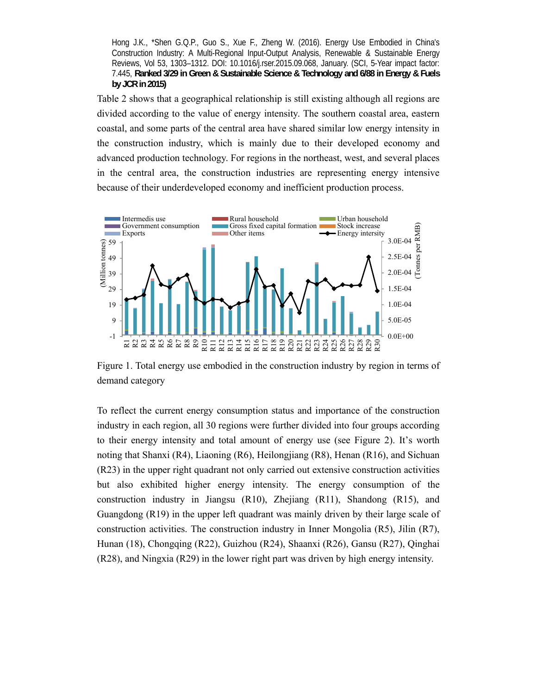Table 2 shows that a geographical relationship is still existing although all regions are divided according to the value of energy intensity. The southern coastal area, eastern coastal, and some parts of the central area have shared similar low energy intensity in the construction industry, which is mainly due to their developed economy and advanced production technology. For regions in the northeast, west, and several places in the central area, the construction industries are representing energy intensive because of their underdeveloped economy and inefficient production process.



Figure 1. Total energy use embodied in the construction industry by region in terms of demand category

To reflect the current energy consumption status and importance of the construction industry in each region, all 30 regions were further divided into four groups according to their energy intensity and total amount of energy use (see Figure 2). It's worth noting that Shanxi (R4), Liaoning (R6), Heilongjiang (R8), Henan (R16), and Sichuan (R23) in the upper right quadrant not only carried out extensive construction activities but also exhibited higher energy intensity. The energy consumption of the construction industry in Jiangsu (R10), Zhejiang (R11), Shandong (R15), and Guangdong (R19) in the upper left quadrant was mainly driven by their large scale of construction activities. The construction industry in Inner Mongolia (R5), Jilin (R7), Hunan (18), Chongqing (R22), Guizhou (R24), Shaanxi (R26), Gansu (R27), Qinghai (R28), and Ningxia (R29) in the lower right part was driven by high energy intensity.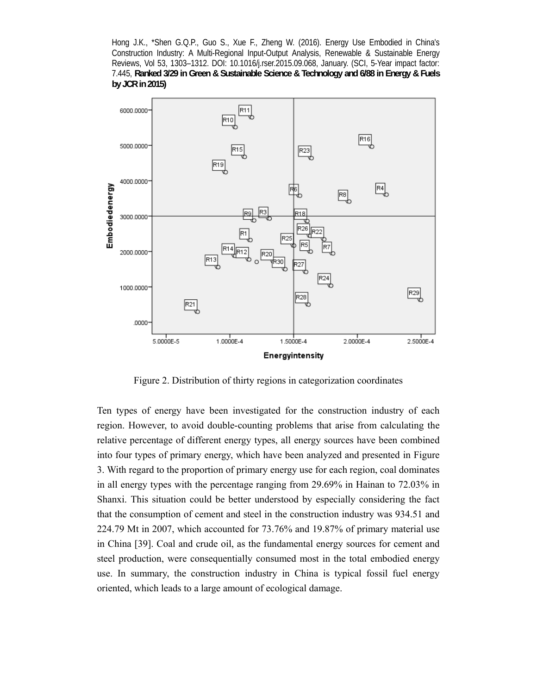

Figure 2. Distribution of thirty regions in categorization coordinates

Ten types of energy have been investigated for the construction industry of each region. However, to avoid double-counting problems that arise from calculating the relative percentage of different energy types, all energy sources have been combined into four types of primary energy, which have been analyzed and presented in Figure 3. With regard to the proportion of primary energy use for each region, coal dominates in all energy types with the percentage ranging from 29.69% in Hainan to 72.03% in Shanxi. This situation could be better understood by especially considering the fact that the consumption of cement and steel in the construction industry was 934.51 and 224.79 Mt in 2007, which accounted for 73.76% and 19.87% of primary material use in China [39]. Coal and crude oil, as the fundamental energy sources for cement and steel production, were consequentially consumed most in the total embodied energy use. In summary, the construction industry in China is typical fossil fuel energy oriented, which leads to a large amount of ecological damage.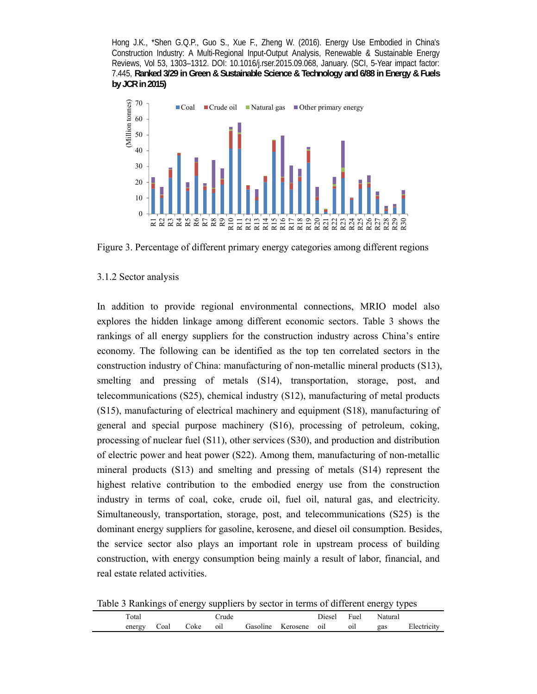

Figure 3. Percentage of different primary energy categories among different regions

# 3.1.2 Sector analysis

In addition to provide regional environmental connections, MRIO model also explores the hidden linkage among different economic sectors. Table 3 shows the rankings of all energy suppliers for the construction industry across China's entire economy. The following can be identified as the top ten correlated sectors in the construction industry of China: manufacturing of non-metallic mineral products (S13), smelting and pressing of metals (S14), transportation, storage, post, and telecommunications (S25), chemical industry (S12), manufacturing of metal products (S15), manufacturing of electrical machinery and equipment (S18), manufacturing of general and special purpose machinery (S16), processing of petroleum, coking, processing of nuclear fuel (S11), other services (S30), and production and distribution of electric power and heat power (S22). Among them, manufacturing of non-metallic mineral products (S13) and smelting and pressing of metals (S14) represent the highest relative contribution to the embodied energy use from the construction industry in terms of coal, coke, crude oil, fuel oil, natural gas, and electricity. Simultaneously, transportation, storage, post, and telecommunications (S25) is the dominant energy suppliers for gasoline, kerosene, and diesel oil consumption. Besides, the service sector also plays an important role in upstream process of building construction, with energy consumption being mainly a result of labor, financial, and real estate related activities.

Table 3 Rankings of energy suppliers by sector in terms of different energy types

|                | ~    | $\tilde{}$ | * *  | -        |         |        |      | $\tilde{}$<br>. |           |
|----------------|------|------------|------|----------|---------|--------|------|-----------------|-----------|
| $_{\rm Total}$ |      |            | rude |          |         | Diesel | Fuel | Naturai         |           |
| energy         | Coal | ∠oke       | 011  | Gasoline | erosene | 011    | 01l  | gas             | ' lectric |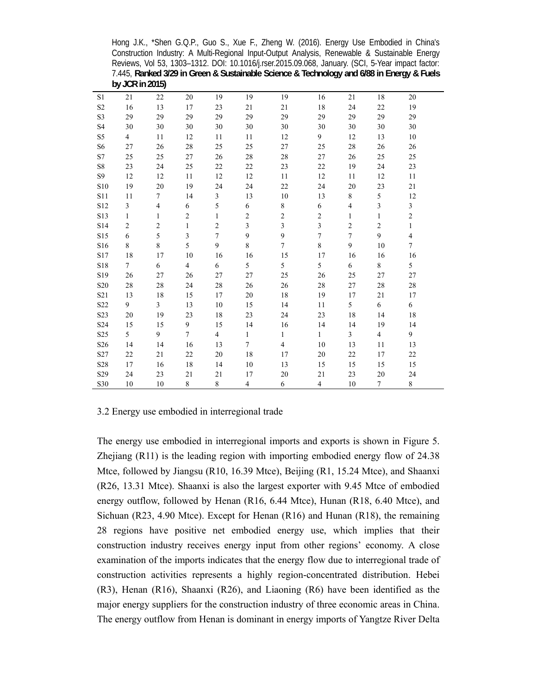Hong J.K., \*Shen G.Q.P., Guo S., Xue F., Zheng W. (2016). Energy Use Embodied in China's Construction Industry: A Multi-Regional Input-Output Analysis, Renewable & Sustainable Energy Reviews, Vol 53, 1303–1312. DOI: 10.1016/j.rser.2015.09.068, January. (SCI, 5-Year impact factor: 7.445, **Ranked 3/29 in Green & Sustainable Science & Technology and 6/88 in Energy & Fuels by JCR in 2015)**

| S1              | 21             | 22             | 20             | 19             | 19             | 19                      | 16                      | 21             | 18                      | 20                      |  |
|-----------------|----------------|----------------|----------------|----------------|----------------|-------------------------|-------------------------|----------------|-------------------------|-------------------------|--|
| S <sub>2</sub>  | 16             | 13             | 17             | 23             | 21             | 21                      | 18                      | 24             | 22                      | 19                      |  |
| S3              | 29             | 29             | 29             | 29             | 29             | 29                      | 29                      | 29             | 29                      | 29                      |  |
| S <sub>4</sub>  | 30             | 30             | 30             | 30             | 30             | 30                      | 30                      | 30             | 30                      | 30                      |  |
| S <sub>5</sub>  | $\overline{4}$ | 11             | 12             | 11             | 11             | 12                      | 9                       | 12             | 13                      | 10                      |  |
| S <sub>6</sub>  | 27             | 26             | 28             | 25             | 25             | 27                      | 25                      | 28             | 26                      | 26                      |  |
| S7              | 25             | 25             | 27             | 26             | 28             | 28                      | 27                      | 26             | 25                      | 25                      |  |
| S8              | 23             | 24             | 25             | 22             | 22             | 23                      | 22                      | 19             | 24                      | 23                      |  |
| S <sub>9</sub>  | 12             | 12             | 11             | 12             | 12             | 11                      | 12                      | 11             | 12                      | 11                      |  |
| S10             | 19             | 20             | 19             | 24             | 24             | 22                      | 24                      | 20             | 23                      | 21                      |  |
| S11             | 11             | $\tau$         | 14             | 3              | 13             | 10                      | 13                      | 8              | $\mathfrak s$           | 12                      |  |
| S12             | $\overline{3}$ | 4              | 6              | 5              | 6              | $\,8\,$                 | 6                       | $\overline{4}$ | $\overline{\mathbf{3}}$ | $\overline{\mathbf{3}}$ |  |
| S13             | $\mathbf{1}$   | 1              | $\overline{c}$ | 1              | $\overline{c}$ | $\sqrt{2}$              | $\overline{c}$          | 1              | $\mathbf{1}$            | $\overline{c}$          |  |
| S14             | $\overline{2}$ | $\overline{c}$ | $\mathbf{1}$   | $\overline{c}$ | $\overline{3}$ | $\overline{\mathbf{3}}$ | $\overline{\mathbf{3}}$ | $\mathbf{2}$   | $\overline{c}$          | $\mathbf{1}$            |  |
| S15             | 6              | 5              | 3              | $\overline{7}$ | 9              | 9                       | $\overline{7}$          | $\overline{7}$ | 9                       | $\overline{4}$          |  |
| S16             | 8              | 8              | 5              | 9              | 8              | $\overline{7}$          | 8                       | 9              | 10                      | 7                       |  |
| S17             | 18             | 17             | 10             | 16             | 16             | 15                      | 17                      | 16             | 16                      | 16                      |  |
| S18             | $\overline{7}$ | 6              | $\overline{4}$ | 6              | 5              | 5                       | 5                       | 6              | 8                       | 5                       |  |
| S19             | 26             | 27             | 26             | 27             | 27             | 25                      | 26                      | 25             | 27                      | 27                      |  |
| S <sub>20</sub> | 28             | 28             | 24             | 28             | 26             | 26                      | 28                      | 27             | 28                      | 28                      |  |
| S <sub>21</sub> | 13             | 18             | 15             | 17             | 20             | 18                      | 19                      | 17             | 21                      | 17                      |  |
| S22             | 9              | 3              | 13             | 10             | 15             | 14                      | 11                      | 5              | 6                       | 6                       |  |
| S23             | 20             | 19             | 23             | 18             | 23             | 24                      | 23                      | 18             | 14                      | 18                      |  |
| S24             | 15             | 15             | 9              | 15             | 14             | 16                      | 14                      | 14             | 19                      | 14                      |  |
| S <sub>25</sub> | 5              | 9              | $\overline{7}$ | $\overline{4}$ | $\mathbf{1}$   | 1                       | $\mathbf{1}$            | $\overline{3}$ | $\overline{4}$          | 9                       |  |
| S <sub>26</sub> | 14             | 14             | 16             | 13             | $\overline{7}$ | $\overline{4}$          | 10                      | 13             | 11                      | 13                      |  |
| S27             | 22             | 21             | 22             | 20             | 18             | 17                      | 20                      | 22             | 17                      | 22                      |  |
| S28             | 17             | 16             | 18             | 14             | 10             | 13                      | 15                      | 15             | 15                      | 15                      |  |
| S29             | 24             | 23             | 21             | 21             | 17             | 20                      | 21                      | 23             | 20                      | 24                      |  |
| S30             | 10             | 10             | 8              | 8              | $\overline{4}$ | 6                       | $\overline{4}$          | 10             | $\overline{7}$          | $\,$ 8 $\,$             |  |
|                 |                |                |                |                |                |                         |                         |                |                         |                         |  |

# 3.2 Energy use embodied in interregional trade

The energy use embodied in interregional imports and exports is shown in Figure 5. Zhejiang (R11) is the leading region with importing embodied energy flow of 24.38 Mtce, followed by Jiangsu (R10, 16.39 Mtce), Beijing (R1, 15.24 Mtce), and Shaanxi (R26, 13.31 Mtce). Shaanxi is also the largest exporter with 9.45 Mtce of embodied energy outflow, followed by Henan (R16, 6.44 Mtce), Hunan (R18, 6.40 Mtce), and Sichuan (R23, 4.90 Mtce). Except for Henan (R16) and Hunan (R18), the remaining 28 regions have positive net embodied energy use, which implies that their construction industry receives energy input from other regions' economy. A close examination of the imports indicates that the energy flow due to interregional trade of construction activities represents a highly region-concentrated distribution. Hebei (R3), Henan (R16), Shaanxi (R26), and Liaoning (R6) have been identified as the major energy suppliers for the construction industry of three economic areas in China. The energy outflow from Henan is dominant in energy imports of Yangtze River Delta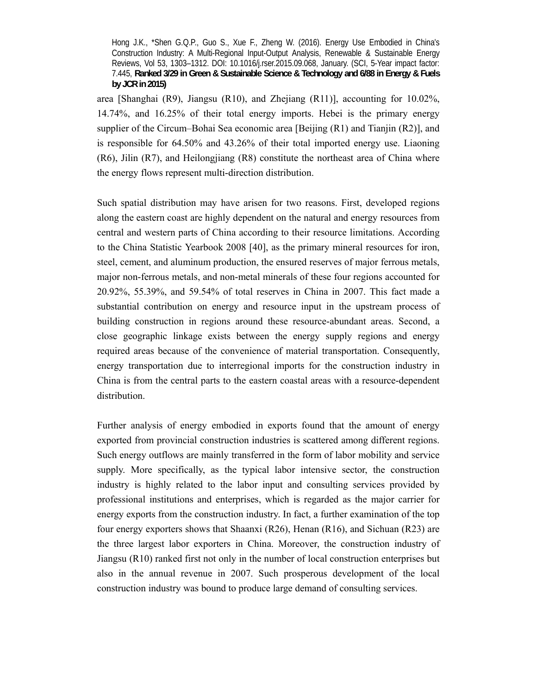area [Shanghai (R9), Jiangsu (R10), and Zhejiang (R11)], accounting for 10.02%, 14.74%, and 16.25% of their total energy imports. Hebei is the primary energy supplier of the Circum–Bohai Sea economic area [Beijing (R1) and Tianjin (R2)], and is responsible for 64.50% and 43.26% of their total imported energy use. Liaoning (R6), Jilin (R7), and Heilongjiang (R8) constitute the northeast area of China where the energy flows represent multi-direction distribution.

Such spatial distribution may have arisen for two reasons. First, developed regions along the eastern coast are highly dependent on the natural and energy resources from central and western parts of China according to their resource limitations. According to the China Statistic Yearbook 2008 [40], as the primary mineral resources for iron, steel, cement, and aluminum production, the ensured reserves of major ferrous metals, major non-ferrous metals, and non-metal minerals of these four regions accounted for 20.92%, 55.39%, and 59.54% of total reserves in China in 2007. This fact made a substantial contribution on energy and resource input in the upstream process of building construction in regions around these resource-abundant areas. Second, a close geographic linkage exists between the energy supply regions and energy required areas because of the convenience of material transportation. Consequently, energy transportation due to interregional imports for the construction industry in China is from the central parts to the eastern coastal areas with a resource-dependent distribution.

Further analysis of energy embodied in exports found that the amount of energy exported from provincial construction industries is scattered among different regions. Such energy outflows are mainly transferred in the form of labor mobility and service supply. More specifically, as the typical labor intensive sector, the construction industry is highly related to the labor input and consulting services provided by professional institutions and enterprises, which is regarded as the major carrier for energy exports from the construction industry. In fact, a further examination of the top four energy exporters shows that Shaanxi (R26), Henan (R16), and Sichuan (R23) are the three largest labor exporters in China. Moreover, the construction industry of Jiangsu (R10) ranked first not only in the number of local construction enterprises but also in the annual revenue in 2007. Such prosperous development of the local construction industry was bound to produce large demand of consulting services.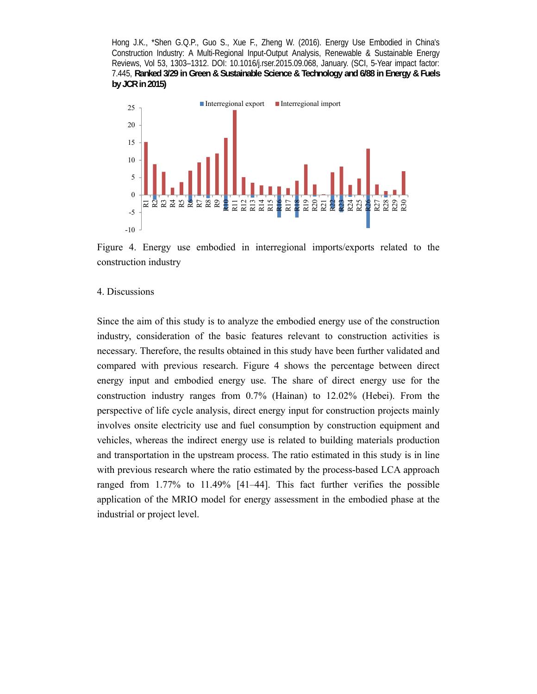

Figure 4. Energy use embodied in interregional imports/exports related to the construction industry

#### 4. Discussions

Since the aim of this study is to analyze the embodied energy use of the construction industry, consideration of the basic features relevant to construction activities is necessary. Therefore, the results obtained in this study have been further validated and compared with previous research. Figure 4 shows the percentage between direct energy input and embodied energy use. The share of direct energy use for the construction industry ranges from 0.7% (Hainan) to 12.02% (Hebei). From the perspective of life cycle analysis, direct energy input for construction projects mainly involves onsite electricity use and fuel consumption by construction equipment and vehicles, whereas the indirect energy use is related to building materials production and transportation in the upstream process. The ratio estimated in this study is in line with previous research where the ratio estimated by the process-based LCA approach ranged from 1.77% to 11.49% [41–44]. This fact further verifies the possible application of the MRIO model for energy assessment in the embodied phase at the industrial or project level.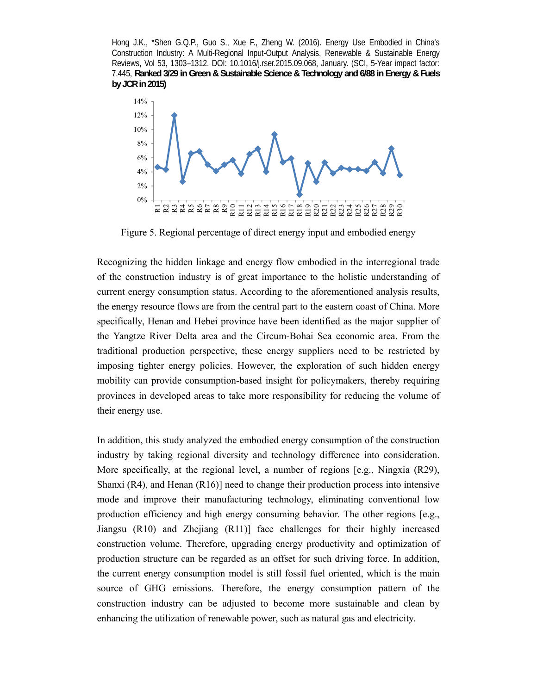

Figure 5. Regional percentage of direct energy input and embodied energy

Recognizing the hidden linkage and energy flow embodied in the interregional trade of the construction industry is of great importance to the holistic understanding of current energy consumption status. According to the aforementioned analysis results, the energy resource flows are from the central part to the eastern coast of China. More specifically, Henan and Hebei province have been identified as the major supplier of the Yangtze River Delta area and the Circum-Bohai Sea economic area. From the traditional production perspective, these energy suppliers need to be restricted by imposing tighter energy policies. However, the exploration of such hidden energy mobility can provide consumption-based insight for policymakers, thereby requiring provinces in developed areas to take more responsibility for reducing the volume of their energy use.

In addition, this study analyzed the embodied energy consumption of the construction industry by taking regional diversity and technology difference into consideration. More specifically, at the regional level, a number of regions [e.g., Ningxia (R29), Shanxi  $(R4)$ , and Henan  $(R16)$ ] need to change their production process into intensive mode and improve their manufacturing technology, eliminating conventional low production efficiency and high energy consuming behavior. The other regions [e.g., Jiangsu (R10) and Zhejiang (R11)] face challenges for their highly increased construction volume. Therefore, upgrading energy productivity and optimization of production structure can be regarded as an offset for such driving force. In addition, the current energy consumption model is still fossil fuel oriented, which is the main source of GHG emissions. Therefore, the energy consumption pattern of the construction industry can be adjusted to become more sustainable and clean by enhancing the utilization of renewable power, such as natural gas and electricity.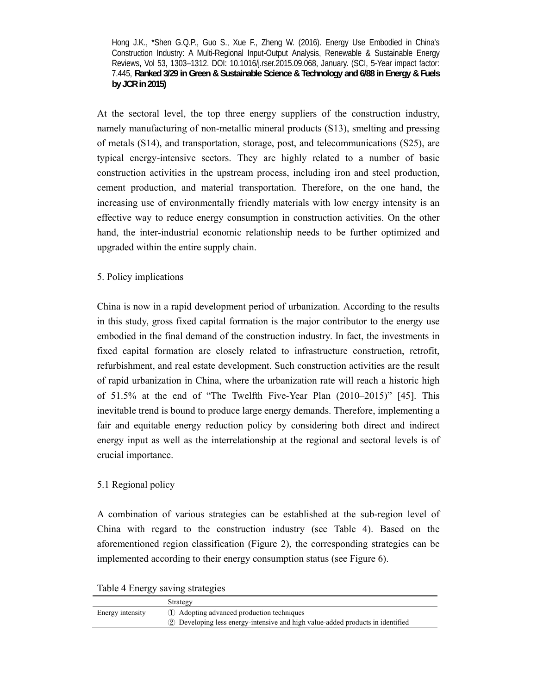At the sectoral level, the top three energy suppliers of the construction industry, namely manufacturing of non-metallic mineral products (S13), smelting and pressing of metals (S14), and transportation, storage, post, and telecommunications (S25), are typical energy-intensive sectors. They are highly related to a number of basic construction activities in the upstream process, including iron and steel production, cement production, and material transportation. Therefore, on the one hand, the increasing use of environmentally friendly materials with low energy intensity is an effective way to reduce energy consumption in construction activities. On the other hand, the inter-industrial economic relationship needs to be further optimized and upgraded within the entire supply chain.

5. Policy implications

China is now in a rapid development period of urbanization. According to the results in this study, gross fixed capital formation is the major contributor to the energy use embodied in the final demand of the construction industry. In fact, the investments in fixed capital formation are closely related to infrastructure construction, retrofit, refurbishment, and real estate development. Such construction activities are the result of rapid urbanization in China, where the urbanization rate will reach a historic high of 51.5% at the end of "The Twelfth Five-Year Plan (2010–2015)" [45]. This inevitable trend is bound to produce large energy demands. Therefore, implementing a fair and equitable energy reduction policy by considering both direct and indirect energy input as well as the interrelationship at the regional and sectoral levels is of crucial importance.

# 5.1 Regional policy

A combination of various strategies can be established at the sub-region level of China with regard to the construction industry (see Table 4). Based on the aforementioned region classification (Figure 2), the corresponding strategies can be implemented according to their energy consumption status (see Figure 6).

Table 4 Energy saving strategies

|                  | Strategy                                                                       |
|------------------|--------------------------------------------------------------------------------|
| Energy intensity | 1) Adopting advanced production techniques                                     |
|                  | 2 Developing less energy-intensive and high value-added products in identified |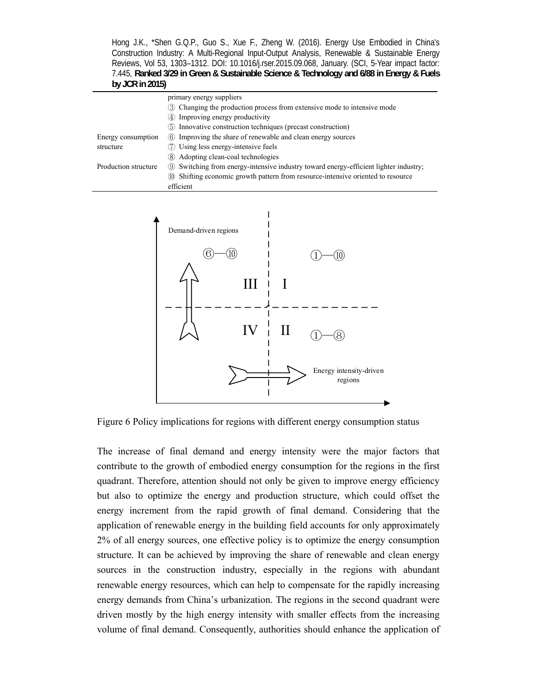|                      | primary energy suppliers                                                             |  |  |  |  |  |
|----------------------|--------------------------------------------------------------------------------------|--|--|--|--|--|
|                      | 3 Changing the production process from extensive mode to intensive mode              |  |  |  |  |  |
|                      | 4) Improving energy productivity                                                     |  |  |  |  |  |
|                      | (5) Innovative construction techniques (precast construction)                        |  |  |  |  |  |
| Energy consumption   | 6 Improving the share of renewable and clean energy sources                          |  |  |  |  |  |
| structure            | Using less energy-intensive fuels                                                    |  |  |  |  |  |
|                      | (8) Adopting clean-coal technologies                                                 |  |  |  |  |  |
| Production structure | ⑨ Switching from energy-intensive industry toward energy-efficient lighter industry; |  |  |  |  |  |
|                      | (ii) Shifting economic growth pattern from resource-intensive oriented to resource   |  |  |  |  |  |
|                      | efficient                                                                            |  |  |  |  |  |



Figure 6 Policy implications for regions with different energy consumption status

The increase of final demand and energy intensity were the major factors that contribute to the growth of embodied energy consumption for the regions in the first quadrant. Therefore, attention should not only be given to improve energy efficiency but also to optimize the energy and production structure, which could offset the energy increment from the rapid growth of final demand. Considering that the application of renewable energy in the building field accounts for only approximately 2% of all energy sources, one effective policy is to optimize the energy consumption structure. It can be achieved by improving the share of renewable and clean energy sources in the construction industry, especially in the regions with abundant renewable energy resources, which can help to compensate for the rapidly increasing energy demands from China's urbanization. The regions in the second quadrant were driven mostly by the high energy intensity with smaller effects from the increasing volume of final demand. Consequently, authorities should enhance the application of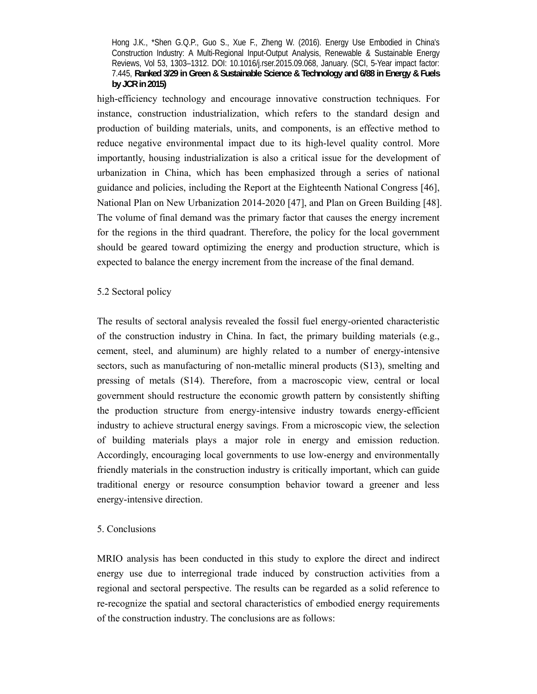high-efficiency technology and encourage innovative construction techniques. For instance, construction industrialization, which refers to the standard design and production of building materials, units, and components, is an effective method to reduce negative environmental impact due to its high-level quality control. More importantly, housing industrialization is also a critical issue for the development of urbanization in China, which has been emphasized through a series of national guidance and policies, including the Report at the Eighteenth National Congress [46], National Plan on New Urbanization 2014-2020 [47], and Plan on Green Building [48]. The volume of final demand was the primary factor that causes the energy increment for the regions in the third quadrant. Therefore, the policy for the local government should be geared toward optimizing the energy and production structure, which is expected to balance the energy increment from the increase of the final demand.

# 5.2 Sectoral policy

The results of sectoral analysis revealed the fossil fuel energy-oriented characteristic of the construction industry in China. In fact, the primary building materials (e.g., cement, steel, and aluminum) are highly related to a number of energy-intensive sectors, such as manufacturing of non-metallic mineral products (S13), smelting and pressing of metals (S14). Therefore, from a macroscopic view, central or local government should restructure the economic growth pattern by consistently shifting the production structure from energy-intensive industry towards energy-efficient industry to achieve structural energy savings. From a microscopic view, the selection of building materials plays a major role in energy and emission reduction. Accordingly, encouraging local governments to use low-energy and environmentally friendly materials in the construction industry is critically important, which can guide traditional energy or resource consumption behavior toward a greener and less energy-intensive direction.

### 5. Conclusions

MRIO analysis has been conducted in this study to explore the direct and indirect energy use due to interregional trade induced by construction activities from a regional and sectoral perspective. The results can be regarded as a solid reference to re-recognize the spatial and sectoral characteristics of embodied energy requirements of the construction industry. The conclusions are as follows: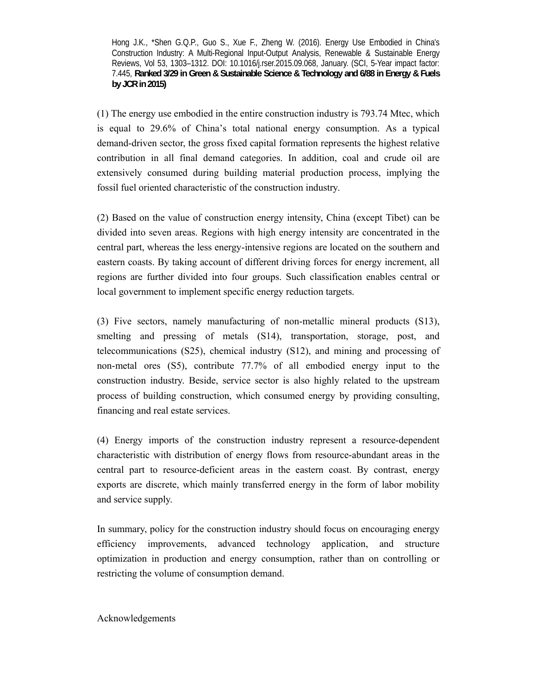(1) The energy use embodied in the entire construction industry is 793.74 Mtec, which is equal to 29.6% of China's total national energy consumption. As a typical demand-driven sector, the gross fixed capital formation represents the highest relative contribution in all final demand categories. In addition, coal and crude oil are extensively consumed during building material production process, implying the fossil fuel oriented characteristic of the construction industry.

(2) Based on the value of construction energy intensity, China (except Tibet) can be divided into seven areas. Regions with high energy intensity are concentrated in the central part, whereas the less energy-intensive regions are located on the southern and eastern coasts. By taking account of different driving forces for energy increment, all regions are further divided into four groups. Such classification enables central or local government to implement specific energy reduction targets.

(3) Five sectors, namely manufacturing of non-metallic mineral products (S13), smelting and pressing of metals (S14), transportation, storage, post, and telecommunications (S25), chemical industry (S12), and mining and processing of non-metal ores (S5), contribute 77.7% of all embodied energy input to the construction industry. Beside, service sector is also highly related to the upstream process of building construction, which consumed energy by providing consulting, financing and real estate services.

(4) Energy imports of the construction industry represent a resource-dependent characteristic with distribution of energy flows from resource-abundant areas in the central part to resource-deficient areas in the eastern coast. By contrast, energy exports are discrete, which mainly transferred energy in the form of labor mobility and service supply.

In summary, policy for the construction industry should focus on encouraging energy efficiency improvements, advanced technology application, and structure optimization in production and energy consumption, rather than on controlling or restricting the volume of consumption demand.

Acknowledgements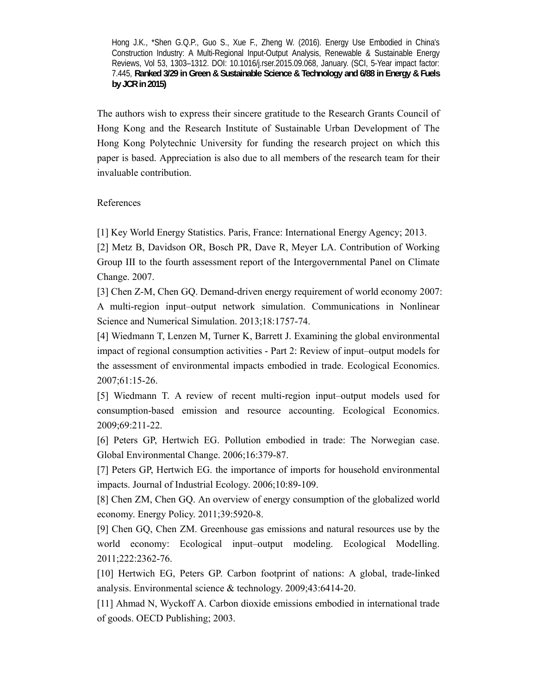The authors wish to express their sincere gratitude to the Research Grants Council of Hong Kong and the Research Institute of Sustainable Urban Development of The Hong Kong Polytechnic University for funding the research project on which this paper is based. Appreciation is also due to all members of the research team for their invaluable contribution.

# References

[1] Key World Energy Statistics. Paris, France: International Energy Agency; 2013.

[2] Metz B, Davidson OR, Bosch PR, Dave R, Meyer LA. Contribution of Working Group III to the fourth assessment report of the Intergovernmental Panel on Climate Change. 2007.

[3] Chen Z-M, Chen GQ. Demand-driven energy requirement of world economy 2007: A multi-region input–output network simulation. Communications in Nonlinear Science and Numerical Simulation. 2013;18:1757-74.

[4] Wiedmann T, Lenzen M, Turner K, Barrett J. Examining the global environmental impact of regional consumption activities - Part 2: Review of input–output models for the assessment of environmental impacts embodied in trade. Ecological Economics. 2007;61:15-26.

[5] Wiedmann T. A review of recent multi-region input–output models used for consumption-based emission and resource accounting. Ecological Economics. 2009;69:211-22.

[6] Peters GP, Hertwich EG. Pollution embodied in trade: The Norwegian case. Global Environmental Change. 2006;16:379-87.

[7] Peters GP, Hertwich EG. the importance of imports for household environmental impacts. Journal of Industrial Ecology. 2006;10:89-109.

[8] Chen ZM, Chen GQ. An overview of energy consumption of the globalized world economy. Energy Policy. 2011;39:5920-8.

[9] Chen GQ, Chen ZM. Greenhouse gas emissions and natural resources use by the world economy: Ecological input–output modeling. Ecological Modelling. 2011;222:2362-76.

[10] Hertwich EG, Peters GP. Carbon footprint of nations: A global, trade-linked analysis. Environmental science & technology. 2009;43:6414-20.

[11] Ahmad N, Wyckoff A. Carbon dioxide emissions embodied in international trade of goods. OECD Publishing; 2003.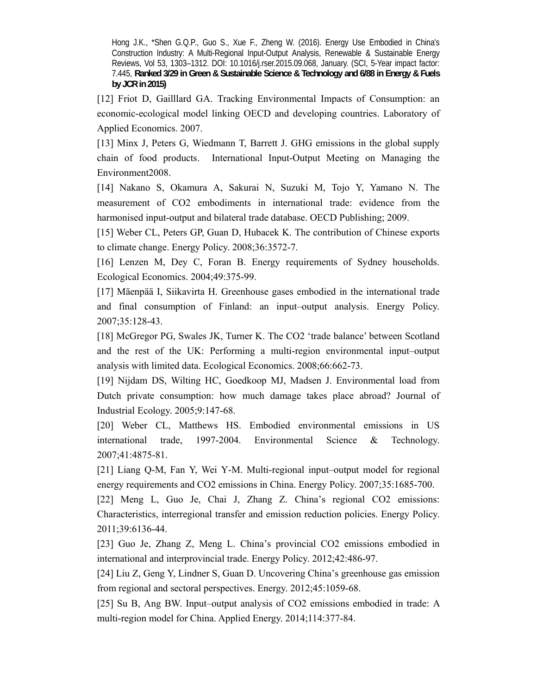[12] Friot D, Gailllard GA. Tracking Environmental Impacts of Consumption: an economic-ecological model linking OECD and developing countries. Laboratory of Applied Economics. 2007.

[13] Minx J, Peters G, Wiedmann T, Barrett J. GHG emissions in the global supply chain of food products. International Input-Output Meeting on Managing the Environment2008.

[14] Nakano S, Okamura A, Sakurai N, Suzuki M, Tojo Y, Yamano N. The measurement of CO2 embodiments in international trade: evidence from the harmonised input-output and bilateral trade database. OECD Publishing; 2009.

[15] Weber CL, Peters GP, Guan D, Hubacek K. The contribution of Chinese exports to climate change. Energy Policy. 2008;36:3572-7.

[16] Lenzen M, Dey C, Foran B. Energy requirements of Sydney households. Ecological Economics. 2004;49:375-99.

[17] Mäenpää I, Siikavirta H. Greenhouse gases embodied in the international trade and final consumption of Finland: an input–output analysis. Energy Policy. 2007;35:128-43.

[18] McGregor PG, Swales JK, Turner K. The CO2 'trade balance' between Scotland and the rest of the UK: Performing a multi-region environmental input–output analysis with limited data. Ecological Economics. 2008;66:662-73.

[19] Nijdam DS, Wilting HC, Goedkoop MJ, Madsen J. Environmental load from Dutch private consumption: how much damage takes place abroad? Journal of Industrial Ecology. 2005;9:147-68.

[20] Weber CL, Matthews HS. Embodied environmental emissions in US international trade, 1997-2004. Environmental Science & Technology. 2007;41:4875-81.

[21] Liang Q-M, Fan Y, Wei Y-M. Multi-regional input–output model for regional energy requirements and CO2 emissions in China. Energy Policy. 2007;35:1685-700.

[22] Meng L, Guo Je, Chai J, Zhang Z. China's regional CO2 emissions: Characteristics, interregional transfer and emission reduction policies. Energy Policy. 2011;39:6136-44.

[23] Guo Je, Zhang Z, Meng L. China's provincial CO2 emissions embodied in international and interprovincial trade. Energy Policy. 2012;42:486-97.

[24] Liu Z, Geng Y, Lindner S, Guan D. Uncovering China's greenhouse gas emission from regional and sectoral perspectives. Energy. 2012;45:1059-68.

[25] Su B, Ang BW. Input–output analysis of CO2 emissions embodied in trade: A multi-region model for China. Applied Energy. 2014;114:377-84.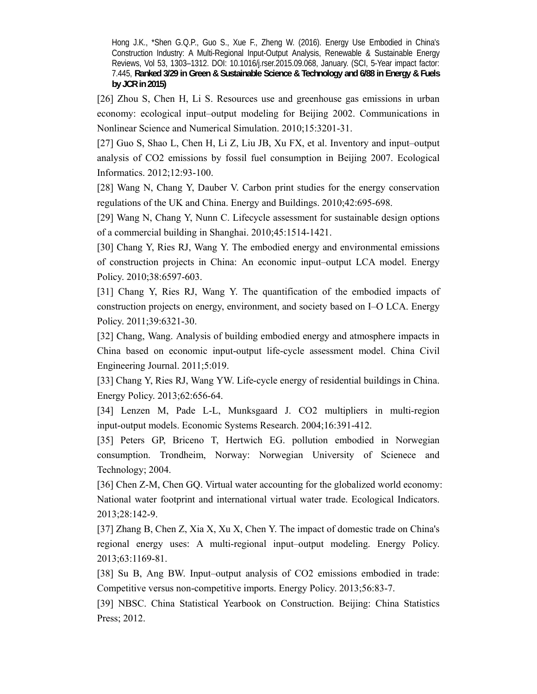[26] Zhou S, Chen H, Li S. Resources use and greenhouse gas emissions in urban economy: ecological input–output modeling for Beijing 2002. Communications in Nonlinear Science and Numerical Simulation. 2010;15:3201-31.

[27] Guo S, Shao L, Chen H, Li Z, Liu JB, Xu FX, et al. Inventory and input–output analysis of CO2 emissions by fossil fuel consumption in Beijing 2007. Ecological Informatics. 2012;12:93-100.

[28] Wang N, Chang Y, Dauber V. Carbon print studies for the energy conservation regulations of the UK and China. Energy and Buildings. 2010;42:695-698.

[29] Wang N, Chang Y, Nunn C. Lifecycle assessment for sustainable design options of a commercial building in Shanghai. 2010;45:1514-1421.

[30] Chang Y, Ries RJ, Wang Y. The embodied energy and environmental emissions of construction projects in China: An economic input–output LCA model. Energy Policy. 2010;38:6597-603.

[31] Chang Y, Ries RJ, Wang Y. The quantification of the embodied impacts of construction projects on energy, environment, and society based on I–O LCA. Energy Policy. 2011;39:6321-30.

[32] Chang, Wang. Analysis of building embodied energy and atmosphere impacts in China based on economic input-output life-cycle assessment model. China Civil Engineering Journal. 2011;5:019.

[33] Chang Y, Ries RJ, Wang YW. Life-cycle energy of residential buildings in China. Energy Policy. 2013;62:656-64.

[34] Lenzen M, Pade L-L, Munksgaard J. CO2 multipliers in multi-region input-output models. Economic Systems Research. 2004;16:391-412.

[35] Peters GP, Briceno T, Hertwich EG. pollution embodied in Norwegian consumption. Trondheim, Norway: Norwegian University of Scienece and Technology; 2004.

[36] Chen Z-M, Chen GQ. Virtual water accounting for the globalized world economy: National water footprint and international virtual water trade. Ecological Indicators. 2013;28:142-9.

[37] Zhang B, Chen Z, Xia X, Xu X, Chen Y. The impact of domestic trade on China's regional energy uses: A multi-regional input–output modeling. Energy Policy. 2013;63:1169-81.

[38] Su B, Ang BW. Input–output analysis of CO2 emissions embodied in trade: Competitive versus non-competitive imports. Energy Policy. 2013;56:83-7.

[39] NBSC. China Statistical Yearbook on Construction. Beijing: China Statistics Press; 2012.